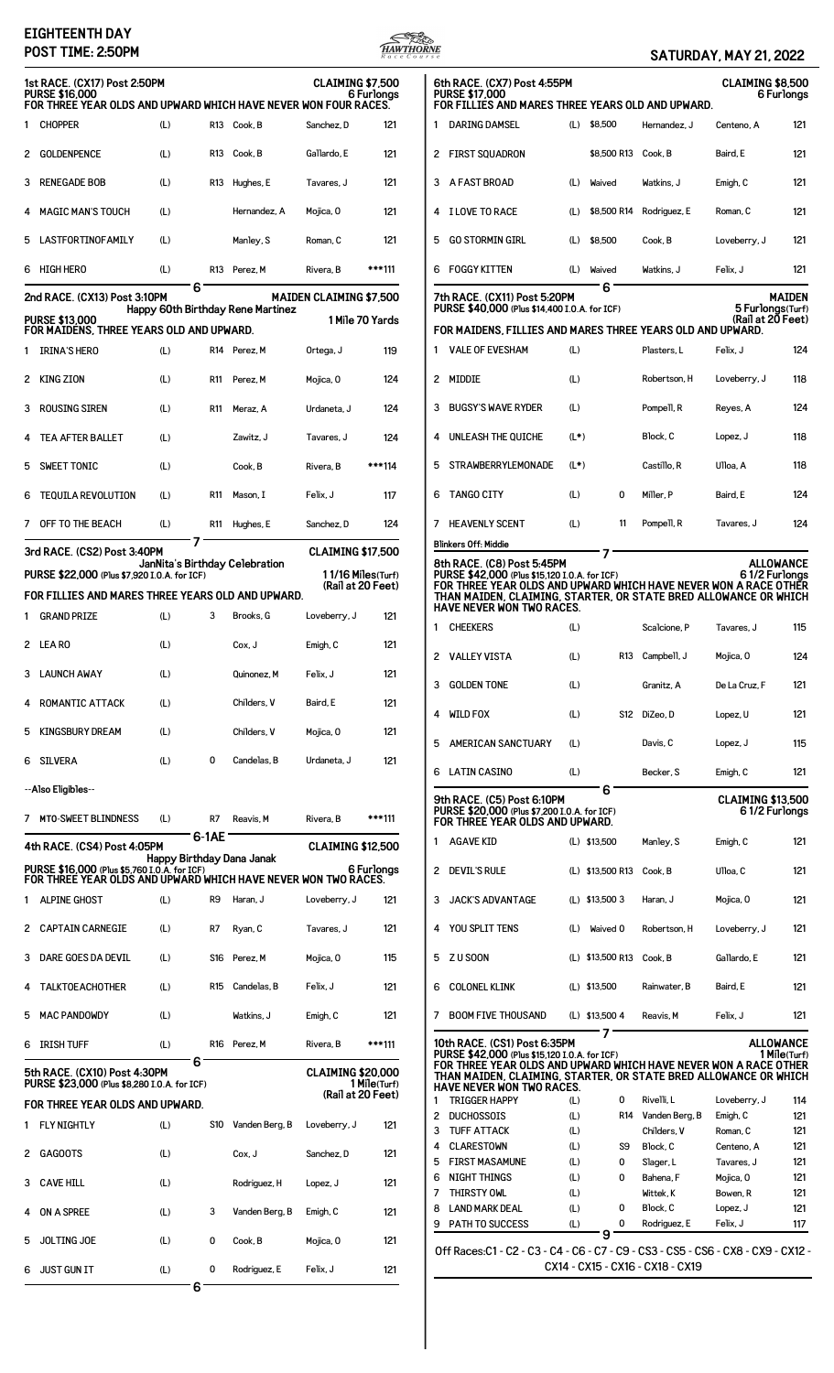## **EIGHTEENTH DAY**



|   | EIGH I EEN I H DAY<br>POST TIME: 2:50PM                                                                                  |     |            |                                   |                                |                 | HAWTHORNE |                                                                                                                                      |            |                          |                                  | <b>SATURDAY, MAY 21, 2022</b> |                                  |
|---|--------------------------------------------------------------------------------------------------------------------------|-----|------------|-----------------------------------|--------------------------------|-----------------|-----------|--------------------------------------------------------------------------------------------------------------------------------------|------------|--------------------------|----------------------------------|-------------------------------|----------------------------------|
|   | 1st RACE. (CX17) Post 2:50PM<br><b>PURSE \$16,000</b><br>FOR THREE YEAR OLDS AND UPWARD WHICH HAVE NEVER WON FOUR RACES. |     |            |                                   | <b>CLAIMING \$7.500</b>        | 6 Furlonas      |           | 6th RACE. (CX7) Post 4:55PM<br><b>PURSE \$17,000</b><br>FOR FILLIES AND MARES THREE YEARS OLD AND UPWARD.                            |            |                          |                                  | <b>CLAIMING \$8,500</b>       | 6 Furlongs                       |
|   | CHOPPER                                                                                                                  | (L) |            | R13 Cook, B                       | Sanchez, D                     | 121             |           | DARING DAMSEL                                                                                                                        |            | $(L)$ \$8,500            | Hernandez, J                     | Centeno, A                    | 121                              |
|   | 2 GOLDENPENCE                                                                                                            | (L) |            | R13 Cook, B                       | Gallardo, E                    | 121             |           | 2 FIRST SQUADRON                                                                                                                     |            | \$8,500 R13 Cook, B      |                                  | Baird, E                      | 121                              |
|   | 3 RENEGADE BOB                                                                                                           | (L) |            | R13 Hughes, E                     | Tavares, J                     | 121             |           | 3 A FAST BROAD                                                                                                                       | (L)        | Waived                   | Watkins, J                       | Emigh, C                      | 121                              |
|   |                                                                                                                          |     |            |                                   |                                |                 |           |                                                                                                                                      |            |                          |                                  |                               |                                  |
|   | <b>MAGIC MAN'S TOUCH</b>                                                                                                 | (L) |            | Hernandez, A                      | Mojica, 0                      | 121             |           | 4 I LOVE TO RACE                                                                                                                     | (L)        |                          | \$8,500 R14 Rodriguez, E         | Roman, C                      | 121                              |
| 5 | LASTFORTINOFAMILY                                                                                                        | (L) |            | Manley, S                         | Roman, C                       | 121             |           | 5 GO STORMIN GIRL                                                                                                                    | (L)        | \$8,500                  | Cook, B                          | Loveberry, J                  | 121                              |
|   | 6 HIGH HERO                                                                                                              | (L) |            | R13 Perez. M                      | Rivera, B                      | ***111          |           | 6 FOGGY KITTEN                                                                                                                       | (L)        | Waived                   | Watkins, J                       | Felix, J                      | 121                              |
|   | 2nd RACE. (CX13) Post 3:10PM                                                                                             | 6   |            | Happy 60th Birthday Rene Martinez | <b>MAIDEN CLAIMING \$7,500</b> |                 |           | 7th RACE. (CX11) Post 5:20PM<br>PURSE \$40,000 (Plus \$14,400 I.O.A. for ICF)                                                        |            | 6                        |                                  | 5 Furlongs(Turf)              | <b>MAIDEN</b>                    |
|   | <b>PURSE \$13,000</b><br>FOR MAIDENS, THREE YEARS OLD AND UPWARD.                                                        |     |            |                                   |                                | 1 Mile 70 Yards |           | FOR MAIDENS, FILLIES AND MARES THREE YEARS OLD AND UPWARD.                                                                           |            |                          |                                  | (Rail at 20 Feet)             |                                  |
|   | IRINA'S HERO                                                                                                             | (L) |            | R14 Perez, M                      | Ortega, J                      | 119             | 1.        | <b>VALE OF EVESHAM</b>                                                                                                               | (L)        |                          | Plasters, L                      | Felix, J                      | 124                              |
|   | 2 KING ZION                                                                                                              | (L) | R11        | Perez. M                          | Mojica, O                      | 124             |           | 2 MIDDIE                                                                                                                             | (L)        |                          | Robertson, H                     | Loveberry, J                  | 118                              |
|   | 3 ROUSING SIREN                                                                                                          | (L) | <b>R11</b> | Meraz, A                          | Urdaneta, J                    | 124             | 3         | <b>BUGSY'S WAVE RYDER</b>                                                                                                            | (L)        |                          | Pompell, R                       | Reyes, A                      | 124                              |
|   |                                                                                                                          |     |            |                                   |                                |                 |           | 4 UNLEASH THE QUICHE                                                                                                                 | $(L*)$     |                          | Block, C                         |                               | 118                              |
|   | TEA AFTER BALLET                                                                                                         | (L) |            | Zawitz, J                         | Tavares, J                     | 124             |           |                                                                                                                                      |            |                          |                                  | Lopez, J                      |                                  |
|   | 5 SWEET TONIC                                                                                                            | (L) |            | Cook, B                           | Rivera, B                      | ***114          |           | 5 STRAWBERRYLEMONADE                                                                                                                 | $(L^*)$    |                          | Castillo, R                      | Ulloa, A                      | 118                              |
|   | 6 TEQUILA REVOLUTION                                                                                                     | (L) | <b>R11</b> | Mason, I                          | Felix, J                       | 117             | 6         | TANGO CITY                                                                                                                           | (L)        | 0                        | Miller, P                        | Baird, E                      | 124                              |
|   | 7 OFF TO THE BEACH                                                                                                       | (L) |            | R11 Hughes, E                     | Sanchez, D                     | 124             |           | 7 HEAVENLY SCENT                                                                                                                     | (L)        | 11                       | Pompell, R                       | Tavares, J                    | 124                              |
|   | 3rd RACE. (CS2) Post 3:40PM                                                                                              |     |            |                                   | <b>CLAIMING \$17,500</b>       |                 |           | <b>Blinkers Off: Middie</b>                                                                                                          |            | 7                        |                                  |                               |                                  |
|   | PURSE \$22,000 (Plus \$7,920 I.O.A. for ICF)                                                                             |     |            | JanNita's Birthday Celebration    | 11/16 Miles(Turf)              |                 |           | 8th RACE. (C8) Post 5:45PM<br>PURSE \$42,000 (Plus \$15,120 I.O.A. for ICF)                                                          |            |                          |                                  | 61/2 Furlongs                 | <b>ALLOWANCE</b>                 |
|   | FOR FILLIES AND MARES THREE YEARS OLD AND UPWARD.                                                                        |     |            |                                   | (Rail at 20 Feet)              |                 |           | FOR THREE YEAR OLDS AND UPWARD WHICH HAVE NEVER WON A RACE OTHER<br>THAN MAIDEN, CLAIMING, STARTER, OR STATE BRED ALLOWANCE OR WHICH |            |                          |                                  |                               |                                  |
|   | 1 GRAND PRIZE                                                                                                            | (L) | 3          | Brooks, G                         | Loveberry, J                   | 121             | 1         | <b>HAVE NEVER WON TWO RACES.</b><br><b>CHEEKERS</b>                                                                                  | (L)        |                          | Scalcione, P                     | Tavares, J                    | 115                              |
|   | 2 LEARO                                                                                                                  | (L) |            | Cox, J                            | Emigh, C                       | 121             |           |                                                                                                                                      |            |                          |                                  |                               |                                  |
|   | 3 LAUNCH AWAY                                                                                                            | (L) |            | Quinonez, M                       | Felix, J                       | 121             |           | 2 VALLEY VISTA                                                                                                                       | (L)        |                          | R13 Campbell, J                  | Mojica, 0                     | 124                              |
|   | 4 ROMANTIC ATTACK                                                                                                        | (L) |            | Childers, V                       | Baird, E                       | 121             |           | 3 GOLDEN TONE                                                                                                                        | (L)        |                          | Granitz, A                       | De La Cruz. F                 | 121                              |
|   |                                                                                                                          |     |            |                                   |                                |                 |           | 4 WILD FOX                                                                                                                           | (L)        | <b>S12</b>               | DiZeo, D                         | Lopez, U                      | 121                              |
|   | 5 KINGSBURY DREAM                                                                                                        | (L) |            | Childers, V                       | Mojica, O                      | 121             | 5         | <b>AMERICAN SANCTUARY</b>                                                                                                            | (L)        |                          | Davis, C                         | Lopez, J                      | 115                              |
|   | 6 SILVERA                                                                                                                | (L) | 0          | Candelas, B                       | Urdaneta, J                    | 121             | 6         | <b>LATIN CASINO</b>                                                                                                                  | (L)        |                          | Becker, S                        | Emigh, C                      | 121                              |
|   | --Also Eligibles--                                                                                                       |     |            |                                   |                                |                 |           | 9th RACE. (C5) Post 6:10PM                                                                                                           |            | 6                        |                                  | <b>CLAIMING \$13.500</b>      |                                  |
|   | 7 MTO-SWEET BLINDNESS                                                                                                    | (L) | R7         | Reavis, M                         | Rivera, B                      | ***111          |           | PURSE \$20,000 (Plus \$7,200 I.O.A. for ICF)<br>FOR THREE YEAR OLDS AND UPWARD.                                                      |            |                          |                                  | 61/2 Furlongs                 |                                  |
|   | 4th RACE. (CS4) Post 4:05PM                                                                                              |     | 6-1AE      |                                   | <b>CLAIMING \$12,500</b>       |                 |           | 1 AGAVE KID                                                                                                                          |            | (L) \$13,500             | Manley, S                        | Emigh, C                      | 121                              |
|   | PURSE \$16,000 (Plus \$5,760 I.O.A. for ICF)<br>FOR THREE YEAR OLDS AND UPWARD WHICH HAVE NEVER WON TWO RACES.           |     |            | Happy Birthday Dana Janak         |                                | 6 Furlonas      |           | 2 DEVIL'S RULE                                                                                                                       |            | (L) \$13,500 R13 Cook, B |                                  | Ulloa, C                      | 121                              |
|   | 1 ALPINE GHOST                                                                                                           | (L) | R9         | Haran, J                          | Loveberry, J                   | 121             |           | 3 JACK'S ADVANTAGE                                                                                                                   |            | (L) \$13,500 3           | Haran, J                         | Mojica, 0                     | 121                              |
|   | 2 CAPTAIN CARNEGIE                                                                                                       | (L) | R7         | Ryan, C                           | Tavares, J                     | 121             |           | 4 YOU SPLIT TENS                                                                                                                     | (L)        | Waived 0                 | Robertson, H                     | Loveberry, J                  | 121                              |
|   | 3 DARE GOES DA DEVIL                                                                                                     | (L) |            | S16 Perez, M                      | Mojica, 0                      | 115             |           | 5 ZU SOON                                                                                                                            |            | (L) \$13,500 R13         | Cook, B                          | Gallardo, E                   | 121                              |
|   |                                                                                                                          |     |            |                                   |                                |                 |           |                                                                                                                                      |            |                          |                                  |                               |                                  |
|   | 4 TALKTOEACHOTHER                                                                                                        | (L) | R15        | Candelas, B                       | Felix, J                       | 121             | 6         | COLONEL KLINK                                                                                                                        |            | (L) \$13,500             | Rainwater, B                     | Baird, E                      | 121                              |
|   | 5 MAC PANDOWDY                                                                                                           | (L) |            | Watkins, J                        | Emigh, C                       | 121             |           | 7 BOOM FIVE THOUSAND                                                                                                                 |            | (L) \$13,500 4<br>7      | Reavis, M                        | Felix, J                      | 121                              |
|   | 6 IRISH TUFF                                                                                                             | (L) |            | R16 Perez, M                      | Rivera, B                      | ***111          |           | 10th RACE. (CS1) Post 6:35PM<br>PURSE \$42,000 (Plus \$15,120 I.O.A. for ICF)                                                        |            |                          |                                  |                               | <b>ALLOWANCE</b><br>1 Mile(Turf) |
|   | 5th RACE. (CX10) Post 4:30PM<br>PURSE \$23,000 (Plus \$8,280 I.O.A. for ICF)                                             | 6   |            |                                   | <b>CLAIMING \$20,000</b>       | 1 Mile(Turf)    |           | FOR THREE YEAR OLDS AND UPWARD WHICH HAVE NEVER WON A RACE OTHER<br>THAN MAIDEN, CLAIMING, STARTER, OR STATE BRED ALLOWANCE OR WHICH |            |                          |                                  |                               |                                  |
|   | FOR THREE YEAR OLDS AND UPWARD.                                                                                          |     |            |                                   | (Rail at 20 Feet)              |                 | 1         | <b>HAVE NEVER WON TWO RACES.</b><br><b>TRIGGER HAPPY</b>                                                                             | (L)        | 0                        | Rivelli, L                       | Loveberry, J                  | 114                              |
|   | 1 FLY NIGHTLY                                                                                                            | (L) | S10        | Vanden Berg, B                    | Loveberry, J                   | 121             | 2         | <b>DUCHOSSOIS</b>                                                                                                                    | (L)        | R14                      | Vanden Berg, B                   | Emigh, C                      | 121                              |
|   |                                                                                                                          |     |            |                                   |                                |                 | 3         | <b>TUFF ATTACK</b>                                                                                                                   | (L)        |                          | Childers, V                      | Roman, C                      | 121                              |
|   | 2 GAGOOTS                                                                                                                | (L) |            | Cox, J                            | Sanchez, D                     | 121             | 4<br>5    | <b>CLARESTOWN</b><br><b>FIRST MASAMUNE</b>                                                                                           | (L)<br>(L) | S9<br>0                  | Block, C<br>Slager, L            | Centeno, A<br>Tavares, J      | 121<br>121                       |
|   |                                                                                                                          |     |            |                                   |                                |                 | 6         | NIGHT THINGS                                                                                                                         | (L)        | 0                        | Bahena, F                        | Mojica, O                     | 121                              |
|   | 3 CAVE HILL                                                                                                              | (L) |            | Rodriguez, H                      | Lopez, J                       | 121             | 7         | THIRSTY OWL                                                                                                                          | (L)        |                          | Wittek, K                        | Bowen, R                      | 121                              |
|   | 4 ON A SPREE                                                                                                             | (L) | 3          | Vanden Berg, B                    | Emigh, C                       | 121             | 8         | <b>LAND MARK DEAL</b>                                                                                                                | (L)        | 0                        | Block, C                         | Lopez, J                      | 121                              |
|   |                                                                                                                          |     |            |                                   |                                |                 | 9         | <b>PATH TO SUCCESS</b>                                                                                                               | (L)        | 0                        | Rodriguez, E                     | Felix, J                      | 117                              |
|   | 5 JOLTING JOE                                                                                                            | (L) | 0          | Cook, B                           | Mojica, 0                      | 121             |           | Off Races: C1 - C2 - C3 - C4 - C6 - C7 - C9 - CS3 - CS5 - CS6 - CX8 - CX9 - CX12 -                                                   |            | 9                        |                                  |                               |                                  |
|   | 6 JUST GUN IT                                                                                                            | (L) |            | 0 Rodriguez, E                    | Felix, J                       | 121             |           |                                                                                                                                      |            |                          | CX14 - CX15 - CX16 - CX18 - CX19 |                               |                                  |

**6**

|                                                                                                                                                                                                                                                                                        | 6th RACE. (CX7) Post 4:55PM<br><b>PURSE \$17,000</b><br>FOR FILLIES AND MARES THREE YEARS OLD AND UPWARD.                                                                                                                                               |            |                       |                               | <b>CLAIMING \$8,500</b><br>6 Furlonas |            |  |  |
|----------------------------------------------------------------------------------------------------------------------------------------------------------------------------------------------------------------------------------------------------------------------------------------|---------------------------------------------------------------------------------------------------------------------------------------------------------------------------------------------------------------------------------------------------------|------------|-----------------------|-------------------------------|---------------------------------------|------------|--|--|
| 1                                                                                                                                                                                                                                                                                      | DARING DAMSEL                                                                                                                                                                                                                                           | (L)        | \$8,500               | Hernandez, J                  | Centeno, A                            | 121        |  |  |
| 2                                                                                                                                                                                                                                                                                      | <b>FIRST SQUADRON</b>                                                                                                                                                                                                                                   |            | \$8,500 R13           | Cook, B                       | Baird. E                              | 121        |  |  |
| 3                                                                                                                                                                                                                                                                                      | A FAST BROAD                                                                                                                                                                                                                                            | (L)        | Waived                | Watkins, J                    | Emigh, C                              | 121        |  |  |
| 4                                                                                                                                                                                                                                                                                      | <b>I LOVE TO RACE</b>                                                                                                                                                                                                                                   | (L)        | \$8,500 R14           | Rodriguez, E                  | Roman, C                              | 121        |  |  |
| 5                                                                                                                                                                                                                                                                                      | <b>GO STORMIN GIRL</b>                                                                                                                                                                                                                                  | (L)        | \$8,500               | Cook, B                       | Loveberry, J                          | 121        |  |  |
| 6                                                                                                                                                                                                                                                                                      | <b>FOGGY KITTEN</b>                                                                                                                                                                                                                                     | (L)        | Waived                | Watkins, J                    | Felix. J                              | 121        |  |  |
|                                                                                                                                                                                                                                                                                        | 7th RACE. (CX11) Post 5:20PM<br>PURSE \$40,000 (Plus \$14,400 I.O.A. for ICF)                                                                                                                                                                           |            | 6                     |                               | <b>MAIDEN</b><br>5 Furlongs(Turf)     |            |  |  |
|                                                                                                                                                                                                                                                                                        | FOR MAIDENS. FILLIES AND MARES THREE YEARS OLD AND UPWARD.                                                                                                                                                                                              |            |                       |                               | (Rail at 20 Feet)                     |            |  |  |
| 1                                                                                                                                                                                                                                                                                      | <b>VALE OF EVESHAM</b>                                                                                                                                                                                                                                  | (L)        |                       | Plasters. L                   | Felix, J                              | 124        |  |  |
| 2                                                                                                                                                                                                                                                                                      | MIDDIE                                                                                                                                                                                                                                                  | (L)        |                       | Robertson, H                  | Loveberry, J                          | 118        |  |  |
| 3                                                                                                                                                                                                                                                                                      | <b>BUGSY'S WAVE RYDER</b>                                                                                                                                                                                                                               | (L)        |                       | Pompell, R                    | Reyes, A                              | 124        |  |  |
| 4                                                                                                                                                                                                                                                                                      | UNLEASH THE OUICHE                                                                                                                                                                                                                                      | $(L^*)$    |                       | Block. C                      | Lopez, J                              | 118        |  |  |
| 5                                                                                                                                                                                                                                                                                      | <b>STRAWBERRYLEMONADE</b>                                                                                                                                                                                                                               | $(L^*)$    |                       | Castillo, R                   | Ulloa, A                              | 118        |  |  |
| 6                                                                                                                                                                                                                                                                                      | <b>TANGO CITY</b>                                                                                                                                                                                                                                       | (L)        | 0                     | Miller, P                     | Baird. E                              | 124        |  |  |
| 7                                                                                                                                                                                                                                                                                      | <b>HEAVENLY SCENT</b>                                                                                                                                                                                                                                   | (L)        | 11                    | Pompell, R                    | Tavares, J                            | 124        |  |  |
|                                                                                                                                                                                                                                                                                        | <b>Blinkers Off: Middie</b>                                                                                                                                                                                                                             |            |                       |                               |                                       |            |  |  |
|                                                                                                                                                                                                                                                                                        | 8th RACE. (C8) Post 5:45PM<br>PURSE \$42,000 (Plus \$15,120 I.O.A. for ICF)<br>FOR THREE YEAR OLDS AND UPWARD WHICH HAVE NEVER WON A RACE OTHER<br>THAN MAIDEN, CLAIMING, STARTER, OR STATE BRED ALLOWANCE OR WHICH<br><b>HAVE NEVER WON TWO RACES.</b> |            |                       |                               | ALLOWANCE<br>6 1/2 Furlonas           |            |  |  |
| 1                                                                                                                                                                                                                                                                                      | <b>CHEEKERS</b>                                                                                                                                                                                                                                         | (L)        |                       | Scalcione, P                  | Tavares, J                            | 115        |  |  |
| 2                                                                                                                                                                                                                                                                                      | <b>VALLEY VISTA</b>                                                                                                                                                                                                                                     | (L)        | R13                   | Campbell, J                   | Mojica, 0                             | 124        |  |  |
| з                                                                                                                                                                                                                                                                                      | <b>GOLDEN TONE</b>                                                                                                                                                                                                                                      | (L)        |                       | Granitz, A                    | De La Cruz, F                         | 121        |  |  |
| 4                                                                                                                                                                                                                                                                                      | <b>WILD FOX</b>                                                                                                                                                                                                                                         | (L)        | S12                   | DiZeo.D                       | Lopez, U                              | 121        |  |  |
| 5                                                                                                                                                                                                                                                                                      | AMERICAN SANCTUARY                                                                                                                                                                                                                                      | (L)        |                       | Davis, C                      | Lopez, J                              | 115        |  |  |
| 6                                                                                                                                                                                                                                                                                      | <b>LATIN CASINO</b>                                                                                                                                                                                                                                     | (L)        |                       | Becker, S                     | Emigh, C                              | 121        |  |  |
|                                                                                                                                                                                                                                                                                        | 9th RACE. (C5) Post 6:10PM                                                                                                                                                                                                                              |            | 6                     |                               | <b>CLAIMING \$13.500</b>              |            |  |  |
|                                                                                                                                                                                                                                                                                        | PURSE \$20,000 (Plus \$7,200 I.O.A. for ICF)<br>FOR THREE YEAR OLDS AND UPWARD.                                                                                                                                                                         |            |                       |                               | 61/2 Furlongs                         |            |  |  |
| 1                                                                                                                                                                                                                                                                                      | <b>AGAVE KID</b>                                                                                                                                                                                                                                        |            | (L) \$13,500          | Manley, S                     | Emigh, C                              | 121        |  |  |
| 2                                                                                                                                                                                                                                                                                      | <b>DEVIL'S RULE</b>                                                                                                                                                                                                                                     |            | (L) \$13,500 R13      | Cook, B                       | Ulloa, C                              | 121        |  |  |
| 3                                                                                                                                                                                                                                                                                      | <b>JACK'S ADVANTAGE</b>                                                                                                                                                                                                                                 |            | (L) \$13,500 3        | Haran, J                      | Mojica, 0                             | 121        |  |  |
| 4                                                                                                                                                                                                                                                                                      | YOU SPLIT TENS                                                                                                                                                                                                                                          | (L)        | Waived 0              | Robertson, H                  | Loveberry, J                          | 121        |  |  |
| 5                                                                                                                                                                                                                                                                                      | Z U SOON                                                                                                                                                                                                                                                |            | (L) \$13,500 R13      | Cook, B                       | Gallardo, E                           | 121        |  |  |
| 6                                                                                                                                                                                                                                                                                      | <b>COLONEL KLINK</b>                                                                                                                                                                                                                                    |            | (L) \$13,500          | Rainwater, B                  | Baird, E                              | 121        |  |  |
| 7                                                                                                                                                                                                                                                                                      | <b>BOOM FIVE THOUSAND</b>                                                                                                                                                                                                                               |            | $(L)$ \$13,500 4<br>7 | Reavis, M                     | Felix, J                              | 121        |  |  |
| 10th RACE. (CS1) Post 6:35PM<br>ALLOWANCE<br>PURSE \$42,000 (Plus \$15,120 I.O.A. for ICF)<br>1 Mile(Turf)<br>FOR THREE YEAR OLDS AND UPWARD WHICH HAVE NEVER WON A RACE OTHER<br>THAN MAIDEN, CLAIMING, STARTER, OR STATE BRED ALLOWANCE OR WHICH<br><b>HAVE NEVER WON TWO RACES.</b> |                                                                                                                                                                                                                                                         |            |                       |                               |                                       |            |  |  |
| 1                                                                                                                                                                                                                                                                                      | <b>TRIGGER HAPPY</b>                                                                                                                                                                                                                                    | (L)        | 0                     | Rivelli, L                    | Loveberry, J                          | 114        |  |  |
| 2<br>3                                                                                                                                                                                                                                                                                 | <b>DUCHOSSOIS</b><br><b>TUFF ATTACK</b>                                                                                                                                                                                                                 | (L)<br>(L) | R14                   | Vanden Berg, B<br>Childers, V | Emigh, C<br>Roman, C                  | 121<br>121 |  |  |
| 4                                                                                                                                                                                                                                                                                      | <b>CLARESTOWN</b>                                                                                                                                                                                                                                       | (L)        | S9                    | Block, C                      | Centeno, A                            | 121        |  |  |
| 5                                                                                                                                                                                                                                                                                      | <b>FIRST MASAMUNE</b>                                                                                                                                                                                                                                   | (L)        | 0                     | Slager, L                     | Tavares, J                            | 121        |  |  |
| 6                                                                                                                                                                                                                                                                                      | NIGHT THINGS                                                                                                                                                                                                                                            | (L)        | 0                     | Bahena, F                     | Mojica, 0                             | 121        |  |  |
| 7                                                                                                                                                                                                                                                                                      | THIRSTY OWL                                                                                                                                                                                                                                             | (L)        |                       | Wittek, K                     | Bowen, R                              | 121        |  |  |
| 8                                                                                                                                                                                                                                                                                      | <b>LAND MARK DEAL</b>                                                                                                                                                                                                                                   | (L)        | 0                     | Block, C                      | Lopez, J                              | 121        |  |  |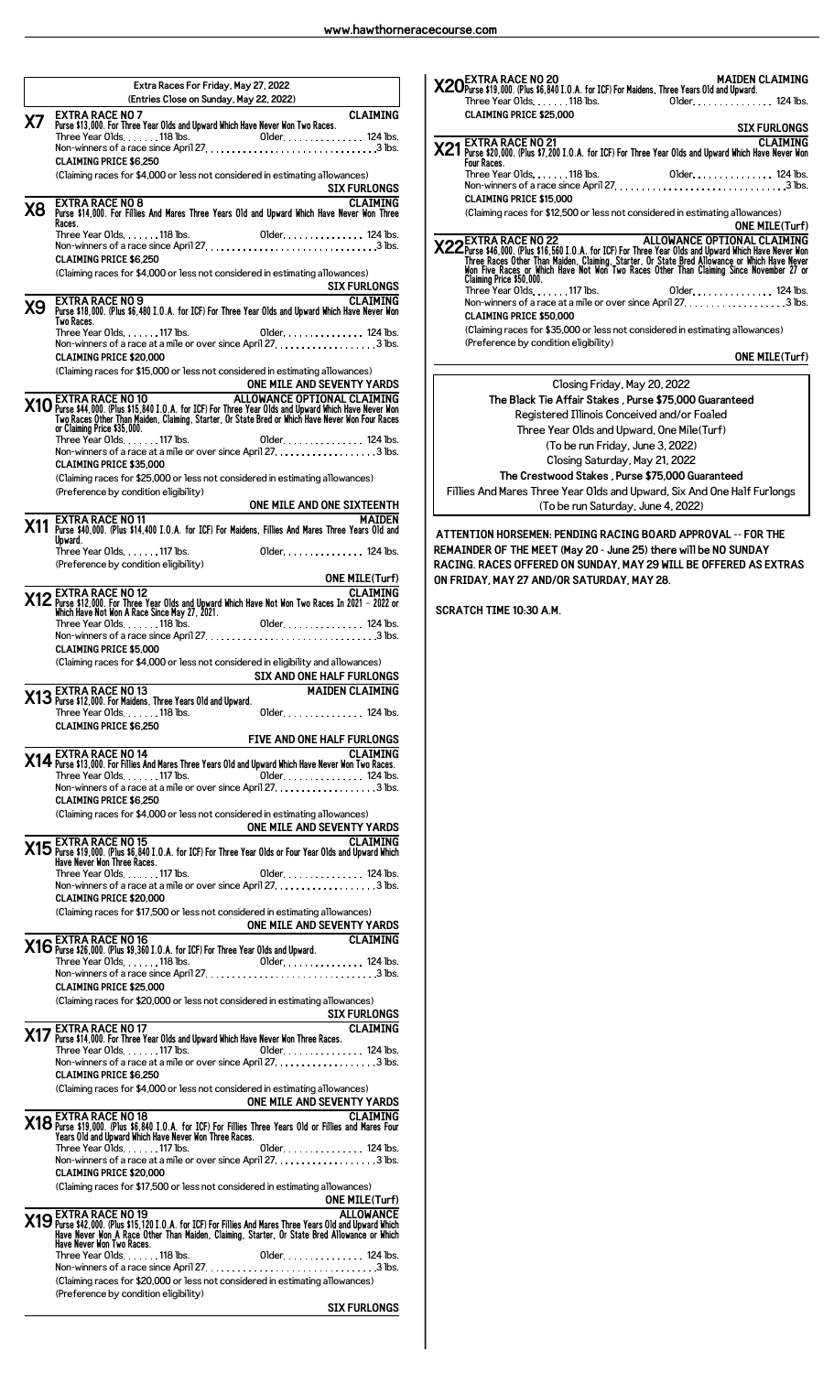|    | Extra Races For Friday, May 27, 2022                                                                                                                                                                                                       |
|----|--------------------------------------------------------------------------------------------------------------------------------------------------------------------------------------------------------------------------------------------|
|    | (Entries Close on Sunday, May 22, 2022)<br><b>EXTRA RACE NO 7</b><br><b>CLAIMING</b>                                                                                                                                                       |
| Х7 | Purse \$13,000. For Three Year Olds and Upward Which Have Never Won Two Races.                                                                                                                                                             |
|    | <b>CLAIMING PRICE \$6,250</b>                                                                                                                                                                                                              |
|    | (Claiming races for \$4,000 or less not considered in estimating allowances)<br><b>SIX FURLONGS</b>                                                                                                                                        |
| Х8 | <b>CLAIMING</b><br>EXTRA RACE NO 8<br>Purse \$14,000. For Fillies And Mares Three Years Old and Upward Which Have Never Won Three                                                                                                          |
|    | Races.                                                                                                                                                                                                                                     |
|    | <b>CLAIMING PRICE \$6.250</b>                                                                                                                                                                                                              |
|    | (Claiming races for \$4,000 or less not considered in estimating allowances)<br><b>SIX FURLONGS</b><br><u> 1980 - Jan James James, politik eta politik eta politik eta politik eta politik eta politik eta politik eta</u>                 |
| Х9 | <b>CLAIMING</b><br><b>EXTRA RACE NO 9</b><br>Purse \$18,000. (Plus \$6,480 I.O.A. for ICF) For Three Year Olds and Upward Which Have Never Won<br>Two Races.                                                                               |
|    | Three Year Olds. 117 lbs. 01der. 124 lbs.                                                                                                                                                                                                  |
|    | <b>CLAIMING PRICE \$20,000</b><br>(Claiming races for \$15,000 or less not considered in estimating allowances)                                                                                                                            |
|    | ONE MILE AND SEVENTY YARDS                                                                                                                                                                                                                 |
|    | <b>X10</b> EXTRA RACE NO 10<br>Two Races 0ther Than Maiden, Clarent Prince Vear Old MCE OPTIONAL CLAIMING<br>Two Races Other Than Maiden, Claiming, Starter, Or State Bred or Which Have New Non four Races<br>or Claiming Price \$35,000. |
|    |                                                                                                                                                                                                                                            |
|    | <b>CLAIMING PRICE \$35,000</b><br>(Claiming races for \$25,000 or less not considered in estimating allowances)                                                                                                                            |
|    | (Preference by condition eligibility)<br>EXTRA RACE NO.11<br>EXTRA RACE NO.11                                                                                                                                                              |
|    | X11 Purse \$40,000. (Plus \$14,400 I.O.A. for ICF) For Maidens, Fillies And Mares Three Years Old and<br>Upward.                                                                                                                           |
|    | Older. 124 lbs.<br>Three Year Olds. 117 lbs.<br>(Preference by condition eligibility)                                                                                                                                                      |
|    | <b>ONE MILE(Turf)</b><br><u> 1980 - Johann Barnett, fransk politik (</u>                                                                                                                                                                   |
|    | CLAIMING STAR RACE NO 12<br>2021 - Purse \$12,000. For Three Year Olds and Upward Which Have Not Won Two Races In 2021 - 2022 or<br>3021 - Which Have Not Won A Race Since May 27, 2021.                                                   |
|    |                                                                                                                                                                                                                                            |
|    | <b>CLAIMING PRICE \$5,000</b><br>(Claiming races for \$4,000 or less not considered in eligibility and allowances)                                                                                                                         |
|    | SIX AND ONE HALF FURLONGS                                                                                                                                                                                                                  |
|    | X13 EXTRA RACE NO 13<br>X13 Purse \$12,000. For Maidens, Three Years Old and Upward.<br><b>MAIDEN CLAIMING</b><br>Three Year Olds. 118 lbs.<br>Older. 124 lbs.                                                                             |
|    | <b>CLAIMING PRICE \$6.250</b><br>FIVE AND ONE HALF FURLONGS                                                                                                                                                                                |
|    | <b>EXTRA RACE NO 14</b><br><b>CLAIMING</b><br>X14 EXTRA RACE NO 14<br>X14 Purse \$13,000. For Fillies And Mares Three Years Old and Upward Which Have Never Won Two Races.                                                                 |
|    | Three Year Olds. 117 lbs.<br>Older 124 lbs.<br>Non-winners of a race at a mile or over since April 27. 3 lbs.                                                                                                                              |
|    | <b>CLAIMING PRICE \$6.250</b><br>(Claiming races for \$4,000 or less not considered in estimating allowances)                                                                                                                              |
|    |                                                                                                                                                                                                                                            |
|    | ONE MILE AND SEVENTY YARDS<br>The Purse \$19,000. (Plus \$6,840 I.O.A. for ICF) For Three Year Olds or Four Year Olds and Upward Which<br>Three News Mon Timee Races.                                                                      |
|    |                                                                                                                                                                                                                                            |
|    | <b>CLAIMING PRICE \$20,000</b><br>(Claiming races for \$17,500 or less not considered in estimating allowances)                                                                                                                            |
|    | ONE MILE AND SEVENTY YARDS<br><b>CLAIMING</b>                                                                                                                                                                                              |
|    | X16 EXTRA RACE NO 16<br>X16 Purse \$26,000. (Plus \$9,360 I.O.A. for ICF) For Three Year Olds and Upward.                                                                                                                                  |
|    | <b>CLAIMING PRICE \$25,000</b>                                                                                                                                                                                                             |
|    | (Claiming races for \$20,000 or less not considered in estimating allowances)<br><b>SIX FURLONGS</b><br><u> 1980 - Johann Barbara, martxa a</u>                                                                                            |
|    | <b>CLAIMING</b><br><b>EXTRA RACE NO 17</b><br>X17 Purse \$14,000. For Three Year Olds and Upward Which Have Never Won Three Races.                                                                                                         |
|    | Three Year Olds. 117 lbs. 01der. 124 lbs.<br>Non-winners of a race at a mile or over since April 27. 3 lbs.                                                                                                                                |
|    | <b>CLAIMING PRICE \$6.250</b><br>(Claiming races for \$4,000 or less not considered in estimating allowances)                                                                                                                              |
|    |                                                                                                                                                                                                                                            |
|    | ONE MILE AND SEVENTY YARDS<br>THE AND SEVENTY YARDS<br>Purse \$19,000. (Plus \$6,840 I.O.A. for ICF) For Fillies Three Years Old or Fillies and Mares Four<br>Tence Vace Old and Upward Which Have Never Won Three Races.                  |
|    | Older. 124 lbs.<br>Three Year Olds. 117 lbs.                                                                                                                                                                                               |
|    | <b>CLAIMING PRICE \$20.000</b><br>(Claiming races for \$17,500 or less not considered in estimating allowances)                                                                                                                            |
|    | <b>ONE MILE(Turf)</b><br>ONE MILE(Turf)<br>ALLOWANCE<br>X19 Purse \$42,000. (Plus \$15, 120 I.O.A. for ICE) For Fillies And Mares Three Years Old and Upward Hinich                                                                        |
|    | Have Never Won A Race Other Than Maiden, Claiming, Starter, Or State Bred Allowance or Which                                                                                                                                               |
|    | Have Never Won Two Races.                                                                                                                                                                                                                  |
|    | (Claiming races for \$20,000 or less not considered in estimating allowances)                                                                                                                                                              |
|    | (Preference by condition eligibility)<br><b>SIX FURLONGS</b>                                                                                                                                                                               |

| <b>EXTRA RACE NO 21</b><br>X21 Purse \$20,000. (Plus \$7,200 I.O.A. for ICF) For Three Year Olds and Upward Which Have Never Won<br>Four Races.<br>Three Year Olds118 lbs.<br><b>CLAIMING PRICE \$15,000</b><br>(Claiming races for \$12,500 or less not considered in estimating allowances)<br><b>ALLOWANCE OPTIONAL CLAIMING</b><br><b>EXTRA RACE NO 22</b><br>X22 Purse \$46,000. (Plus \$16,560 I.O.A. for ICF) For Three Year Olds and Upward Which Have Never Non<br>Three Races Other Than Maiden, Claiming, Starter, Or State Bred Allowance or Which Have Never Non<br>Mon Five Races or Mhich<br>Claiming Price \$50,000.<br>Three Year Olds. 117 lbs.<br>Non-winners of a race at a mile or over since April 27. 3 lbs.<br><b>CLAIMING PRICE \$50,000</b><br>(Claiming races for \$35,000 or less not considered in estimating allowances)<br>(Preference by condition eligibility)<br>Closing Friday, May 20, 2022<br>The Black Tie Affair Stakes, Purse \$75,000 Guaranteed<br>Registered Illinois Conceived and/or Foaled<br>Three Year Olds and Upward, One Mile(Turf)<br>(To be run Friday, June 3, 2022)<br>Closing Saturday, May 21, 2022<br>The Crestwood Stakes, Purse \$75,000 Guaranteed<br>Fillies And Mares Three Year Olds and Upward, Six And One Half Furlongs<br>(To be run Saturday, June 4, 2022)<br>ATTENTION HORSEMEN: PENDING RACING BOARD APPROVAL -- FOR THE<br>REMAINDER OF THE MEET (May 20 - June 25) there will be NO SUNDAY<br>RACING. RACES OFFERED ON SUNDAY, MAY 29 WILL BE OFFERED AS EXTRAS<br>ON FRIDAY, MAY 27 AND/OR SATURDAY. MAY 28. | <b>CLAIMING PRICE \$25,000</b> | <b>SIX FURLONGS</b>   |
|-----------------------------------------------------------------------------------------------------------------------------------------------------------------------------------------------------------------------------------------------------------------------------------------------------------------------------------------------------------------------------------------------------------------------------------------------------------------------------------------------------------------------------------------------------------------------------------------------------------------------------------------------------------------------------------------------------------------------------------------------------------------------------------------------------------------------------------------------------------------------------------------------------------------------------------------------------------------------------------------------------------------------------------------------------------------------------------------------------------------------------------------------------------------------------------------------------------------------------------------------------------------------------------------------------------------------------------------------------------------------------------------------------------------------------------------------------------------------------------------------------------------------------------------------------------------------------------------|--------------------------------|-----------------------|
|                                                                                                                                                                                                                                                                                                                                                                                                                                                                                                                                                                                                                                                                                                                                                                                                                                                                                                                                                                                                                                                                                                                                                                                                                                                                                                                                                                                                                                                                                                                                                                                         |                                | <b>CLAIMING</b>       |
|                                                                                                                                                                                                                                                                                                                                                                                                                                                                                                                                                                                                                                                                                                                                                                                                                                                                                                                                                                                                                                                                                                                                                                                                                                                                                                                                                                                                                                                                                                                                                                                         |                                |                       |
|                                                                                                                                                                                                                                                                                                                                                                                                                                                                                                                                                                                                                                                                                                                                                                                                                                                                                                                                                                                                                                                                                                                                                                                                                                                                                                                                                                                                                                                                                                                                                                                         |                                | Older. 124 lbs.       |
|                                                                                                                                                                                                                                                                                                                                                                                                                                                                                                                                                                                                                                                                                                                                                                                                                                                                                                                                                                                                                                                                                                                                                                                                                                                                                                                                                                                                                                                                                                                                                                                         |                                |                       |
|                                                                                                                                                                                                                                                                                                                                                                                                                                                                                                                                                                                                                                                                                                                                                                                                                                                                                                                                                                                                                                                                                                                                                                                                                                                                                                                                                                                                                                                                                                                                                                                         |                                |                       |
|                                                                                                                                                                                                                                                                                                                                                                                                                                                                                                                                                                                                                                                                                                                                                                                                                                                                                                                                                                                                                                                                                                                                                                                                                                                                                                                                                                                                                                                                                                                                                                                         |                                | <b>ONE MILE(Turf)</b> |
|                                                                                                                                                                                                                                                                                                                                                                                                                                                                                                                                                                                                                                                                                                                                                                                                                                                                                                                                                                                                                                                                                                                                                                                                                                                                                                                                                                                                                                                                                                                                                                                         |                                | Older. 124 lbs.       |
|                                                                                                                                                                                                                                                                                                                                                                                                                                                                                                                                                                                                                                                                                                                                                                                                                                                                                                                                                                                                                                                                                                                                                                                                                                                                                                                                                                                                                                                                                                                                                                                         |                                |                       |
|                                                                                                                                                                                                                                                                                                                                                                                                                                                                                                                                                                                                                                                                                                                                                                                                                                                                                                                                                                                                                                                                                                                                                                                                                                                                                                                                                                                                                                                                                                                                                                                         |                                |                       |
|                                                                                                                                                                                                                                                                                                                                                                                                                                                                                                                                                                                                                                                                                                                                                                                                                                                                                                                                                                                                                                                                                                                                                                                                                                                                                                                                                                                                                                                                                                                                                                                         |                                | <b>ONE MILE(Turf)</b> |
|                                                                                                                                                                                                                                                                                                                                                                                                                                                                                                                                                                                                                                                                                                                                                                                                                                                                                                                                                                                                                                                                                                                                                                                                                                                                                                                                                                                                                                                                                                                                                                                         |                                |                       |
|                                                                                                                                                                                                                                                                                                                                                                                                                                                                                                                                                                                                                                                                                                                                                                                                                                                                                                                                                                                                                                                                                                                                                                                                                                                                                                                                                                                                                                                                                                                                                                                         |                                |                       |
|                                                                                                                                                                                                                                                                                                                                                                                                                                                                                                                                                                                                                                                                                                                                                                                                                                                                                                                                                                                                                                                                                                                                                                                                                                                                                                                                                                                                                                                                                                                                                                                         |                                |                       |
|                                                                                                                                                                                                                                                                                                                                                                                                                                                                                                                                                                                                                                                                                                                                                                                                                                                                                                                                                                                                                                                                                                                                                                                                                                                                                                                                                                                                                                                                                                                                                                                         |                                |                       |
|                                                                                                                                                                                                                                                                                                                                                                                                                                                                                                                                                                                                                                                                                                                                                                                                                                                                                                                                                                                                                                                                                                                                                                                                                                                                                                                                                                                                                                                                                                                                                                                         |                                |                       |
|                                                                                                                                                                                                                                                                                                                                                                                                                                                                                                                                                                                                                                                                                                                                                                                                                                                                                                                                                                                                                                                                                                                                                                                                                                                                                                                                                                                                                                                                                                                                                                                         |                                |                       |
|                                                                                                                                                                                                                                                                                                                                                                                                                                                                                                                                                                                                                                                                                                                                                                                                                                                                                                                                                                                                                                                                                                                                                                                                                                                                                                                                                                                                                                                                                                                                                                                         |                                |                       |
|                                                                                                                                                                                                                                                                                                                                                                                                                                                                                                                                                                                                                                                                                                                                                                                                                                                                                                                                                                                                                                                                                                                                                                                                                                                                                                                                                                                                                                                                                                                                                                                         |                                |                       |
|                                                                                                                                                                                                                                                                                                                                                                                                                                                                                                                                                                                                                                                                                                                                                                                                                                                                                                                                                                                                                                                                                                                                                                                                                                                                                                                                                                                                                                                                                                                                                                                         |                                |                       |
|                                                                                                                                                                                                                                                                                                                                                                                                                                                                                                                                                                                                                                                                                                                                                                                                                                                                                                                                                                                                                                                                                                                                                                                                                                                                                                                                                                                                                                                                                                                                                                                         |                                |                       |
|                                                                                                                                                                                                                                                                                                                                                                                                                                                                                                                                                                                                                                                                                                                                                                                                                                                                                                                                                                                                                                                                                                                                                                                                                                                                                                                                                                                                                                                                                                                                                                                         |                                |                       |
|                                                                                                                                                                                                                                                                                                                                                                                                                                                                                                                                                                                                                                                                                                                                                                                                                                                                                                                                                                                                                                                                                                                                                                                                                                                                                                                                                                                                                                                                                                                                                                                         | <b>SCRATCH TIME 10:30 A.M.</b> |                       |
|                                                                                                                                                                                                                                                                                                                                                                                                                                                                                                                                                                                                                                                                                                                                                                                                                                                                                                                                                                                                                                                                                                                                                                                                                                                                                                                                                                                                                                                                                                                                                                                         |                                |                       |
|                                                                                                                                                                                                                                                                                                                                                                                                                                                                                                                                                                                                                                                                                                                                                                                                                                                                                                                                                                                                                                                                                                                                                                                                                                                                                                                                                                                                                                                                                                                                                                                         |                                |                       |
|                                                                                                                                                                                                                                                                                                                                                                                                                                                                                                                                                                                                                                                                                                                                                                                                                                                                                                                                                                                                                                                                                                                                                                                                                                                                                                                                                                                                                                                                                                                                                                                         |                                |                       |
|                                                                                                                                                                                                                                                                                                                                                                                                                                                                                                                                                                                                                                                                                                                                                                                                                                                                                                                                                                                                                                                                                                                                                                                                                                                                                                                                                                                                                                                                                                                                                                                         |                                |                       |
|                                                                                                                                                                                                                                                                                                                                                                                                                                                                                                                                                                                                                                                                                                                                                                                                                                                                                                                                                                                                                                                                                                                                                                                                                                                                                                                                                                                                                                                                                                                                                                                         |                                |                       |
|                                                                                                                                                                                                                                                                                                                                                                                                                                                                                                                                                                                                                                                                                                                                                                                                                                                                                                                                                                                                                                                                                                                                                                                                                                                                                                                                                                                                                                                                                                                                                                                         |                                |                       |
|                                                                                                                                                                                                                                                                                                                                                                                                                                                                                                                                                                                                                                                                                                                                                                                                                                                                                                                                                                                                                                                                                                                                                                                                                                                                                                                                                                                                                                                                                                                                                                                         |                                |                       |
|                                                                                                                                                                                                                                                                                                                                                                                                                                                                                                                                                                                                                                                                                                                                                                                                                                                                                                                                                                                                                                                                                                                                                                                                                                                                                                                                                                                                                                                                                                                                                                                         |                                |                       |
|                                                                                                                                                                                                                                                                                                                                                                                                                                                                                                                                                                                                                                                                                                                                                                                                                                                                                                                                                                                                                                                                                                                                                                                                                                                                                                                                                                                                                                                                                                                                                                                         |                                |                       |
|                                                                                                                                                                                                                                                                                                                                                                                                                                                                                                                                                                                                                                                                                                                                                                                                                                                                                                                                                                                                                                                                                                                                                                                                                                                                                                                                                                                                                                                                                                                                                                                         |                                |                       |
|                                                                                                                                                                                                                                                                                                                                                                                                                                                                                                                                                                                                                                                                                                                                                                                                                                                                                                                                                                                                                                                                                                                                                                                                                                                                                                                                                                                                                                                                                                                                                                                         |                                |                       |
|                                                                                                                                                                                                                                                                                                                                                                                                                                                                                                                                                                                                                                                                                                                                                                                                                                                                                                                                                                                                                                                                                                                                                                                                                                                                                                                                                                                                                                                                                                                                                                                         |                                |                       |
|                                                                                                                                                                                                                                                                                                                                                                                                                                                                                                                                                                                                                                                                                                                                                                                                                                                                                                                                                                                                                                                                                                                                                                                                                                                                                                                                                                                                                                                                                                                                                                                         |                                |                       |
|                                                                                                                                                                                                                                                                                                                                                                                                                                                                                                                                                                                                                                                                                                                                                                                                                                                                                                                                                                                                                                                                                                                                                                                                                                                                                                                                                                                                                                                                                                                                                                                         |                                |                       |
|                                                                                                                                                                                                                                                                                                                                                                                                                                                                                                                                                                                                                                                                                                                                                                                                                                                                                                                                                                                                                                                                                                                                                                                                                                                                                                                                                                                                                                                                                                                                                                                         |                                |                       |
|                                                                                                                                                                                                                                                                                                                                                                                                                                                                                                                                                                                                                                                                                                                                                                                                                                                                                                                                                                                                                                                                                                                                                                                                                                                                                                                                                                                                                                                                                                                                                                                         |                                |                       |
|                                                                                                                                                                                                                                                                                                                                                                                                                                                                                                                                                                                                                                                                                                                                                                                                                                                                                                                                                                                                                                                                                                                                                                                                                                                                                                                                                                                                                                                                                                                                                                                         |                                |                       |
|                                                                                                                                                                                                                                                                                                                                                                                                                                                                                                                                                                                                                                                                                                                                                                                                                                                                                                                                                                                                                                                                                                                                                                                                                                                                                                                                                                                                                                                                                                                                                                                         |                                |                       |
|                                                                                                                                                                                                                                                                                                                                                                                                                                                                                                                                                                                                                                                                                                                                                                                                                                                                                                                                                                                                                                                                                                                                                                                                                                                                                                                                                                                                                                                                                                                                                                                         |                                |                       |
|                                                                                                                                                                                                                                                                                                                                                                                                                                                                                                                                                                                                                                                                                                                                                                                                                                                                                                                                                                                                                                                                                                                                                                                                                                                                                                                                                                                                                                                                                                                                                                                         |                                |                       |
|                                                                                                                                                                                                                                                                                                                                                                                                                                                                                                                                                                                                                                                                                                                                                                                                                                                                                                                                                                                                                                                                                                                                                                                                                                                                                                                                                                                                                                                                                                                                                                                         |                                |                       |
|                                                                                                                                                                                                                                                                                                                                                                                                                                                                                                                                                                                                                                                                                                                                                                                                                                                                                                                                                                                                                                                                                                                                                                                                                                                                                                                                                                                                                                                                                                                                                                                         |                                |                       |
|                                                                                                                                                                                                                                                                                                                                                                                                                                                                                                                                                                                                                                                                                                                                                                                                                                                                                                                                                                                                                                                                                                                                                                                                                                                                                                                                                                                                                                                                                                                                                                                         |                                |                       |
|                                                                                                                                                                                                                                                                                                                                                                                                                                                                                                                                                                                                                                                                                                                                                                                                                                                                                                                                                                                                                                                                                                                                                                                                                                                                                                                                                                                                                                                                                                                                                                                         |                                |                       |
|                                                                                                                                                                                                                                                                                                                                                                                                                                                                                                                                                                                                                                                                                                                                                                                                                                                                                                                                                                                                                                                                                                                                                                                                                                                                                                                                                                                                                                                                                                                                                                                         |                                |                       |
|                                                                                                                                                                                                                                                                                                                                                                                                                                                                                                                                                                                                                                                                                                                                                                                                                                                                                                                                                                                                                                                                                                                                                                                                                                                                                                                                                                                                                                                                                                                                                                                         |                                |                       |
|                                                                                                                                                                                                                                                                                                                                                                                                                                                                                                                                                                                                                                                                                                                                                                                                                                                                                                                                                                                                                                                                                                                                                                                                                                                                                                                                                                                                                                                                                                                                                                                         |                                |                       |